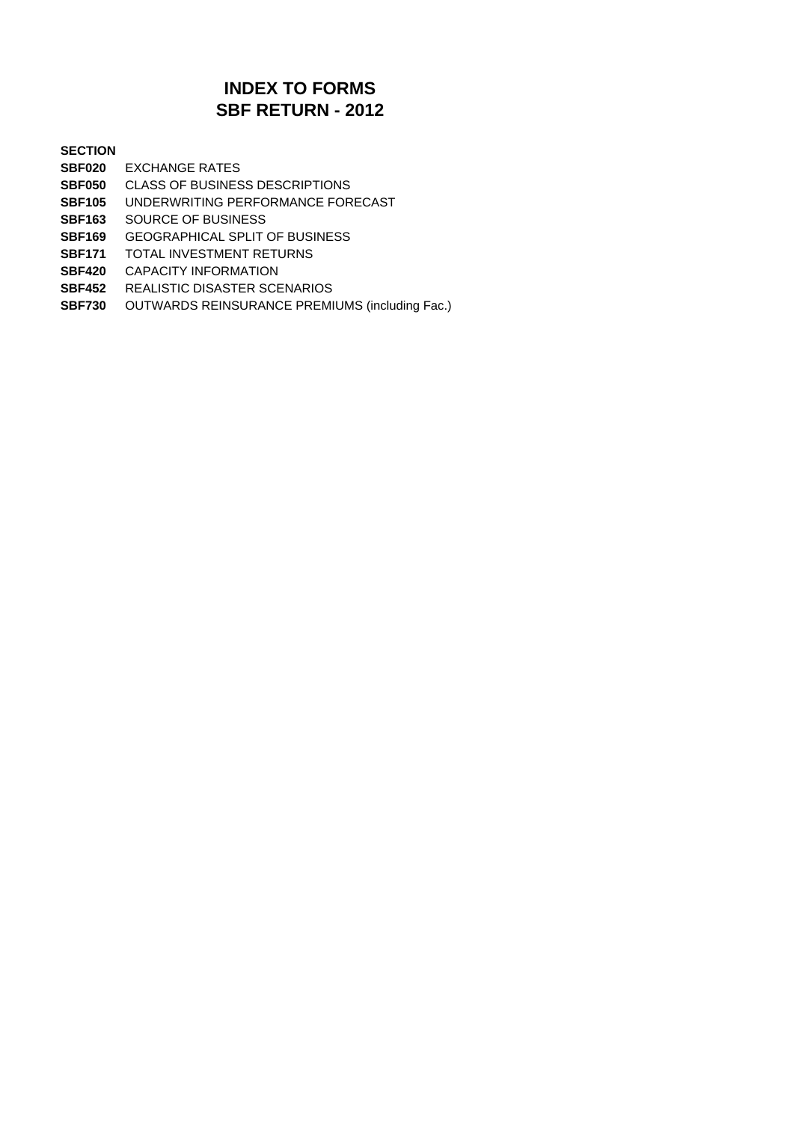## **SBF RETURN - 2012 INDEX TO FORMS**

#### **SECTION**

- **SBF020** EXCHANGE RATES
- **SBF050** CLASS OF BUSINESS DESCRIPTIONS
- **SBF105** UNDERWRITING PERFORMANCE FORECAST
- **SBF163** SOURCE OF BUSINESS
- **SBF169** GEOGRAPHICAL SPLIT OF BUSINESS
- **SBF171** TOTAL INVESTMENT RETURNS
- **SBF420** CAPACITY INFORMATION
- **SBF452** REALISTIC DISASTER SCENARIOS
- **SBF730** OUTWARDS REINSURANCE PREMIUMS (including Fac.)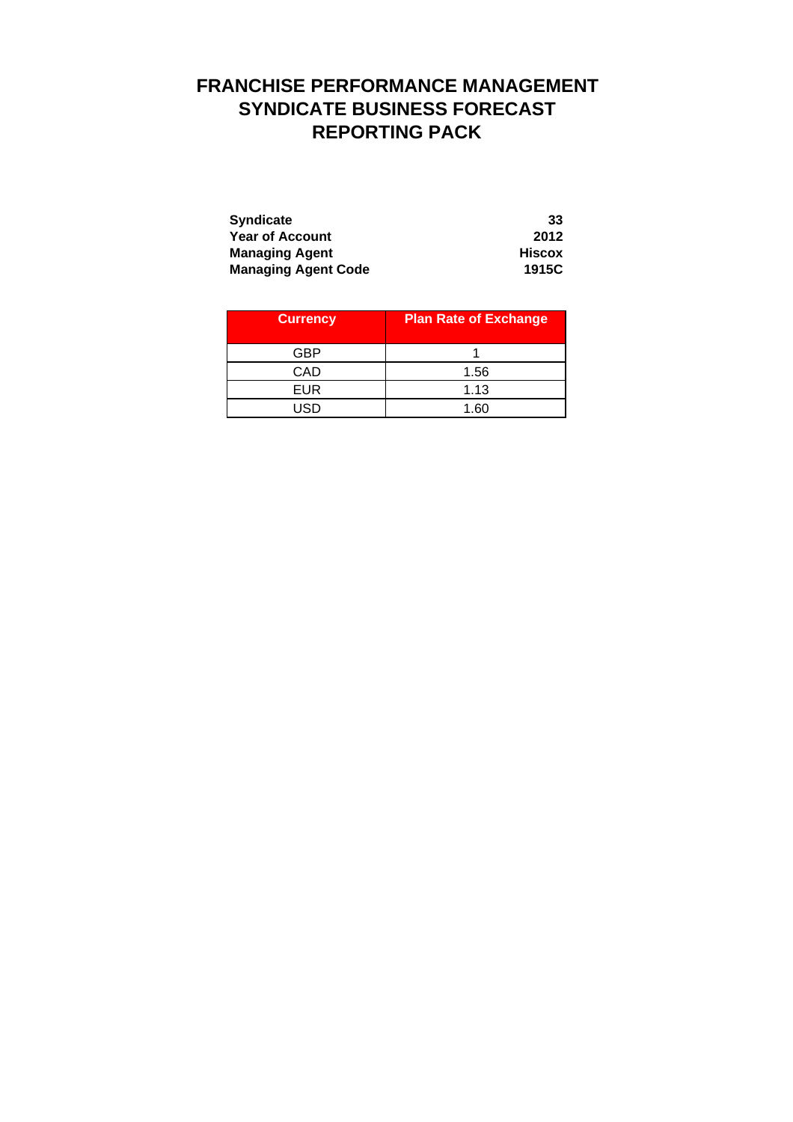# **FRANCHISE PERFORMANCE MANAGEMENT SYNDICATE BUSINESS FORECAST REPORTING PACK**

| <b>Syndicate</b>           | 33            |
|----------------------------|---------------|
| <b>Year of Account</b>     | 2012          |
| <b>Managing Agent</b>      | <b>Hiscox</b> |
| <b>Managing Agent Code</b> | 1915C         |

| <b>Currency</b> | <b>Plan Rate of Exchange</b> |
|-----------------|------------------------------|
| GBP             |                              |
| CAD             | 1.56                         |
| <b>EUR</b>      | 1.13                         |
| חפו             | 1.60                         |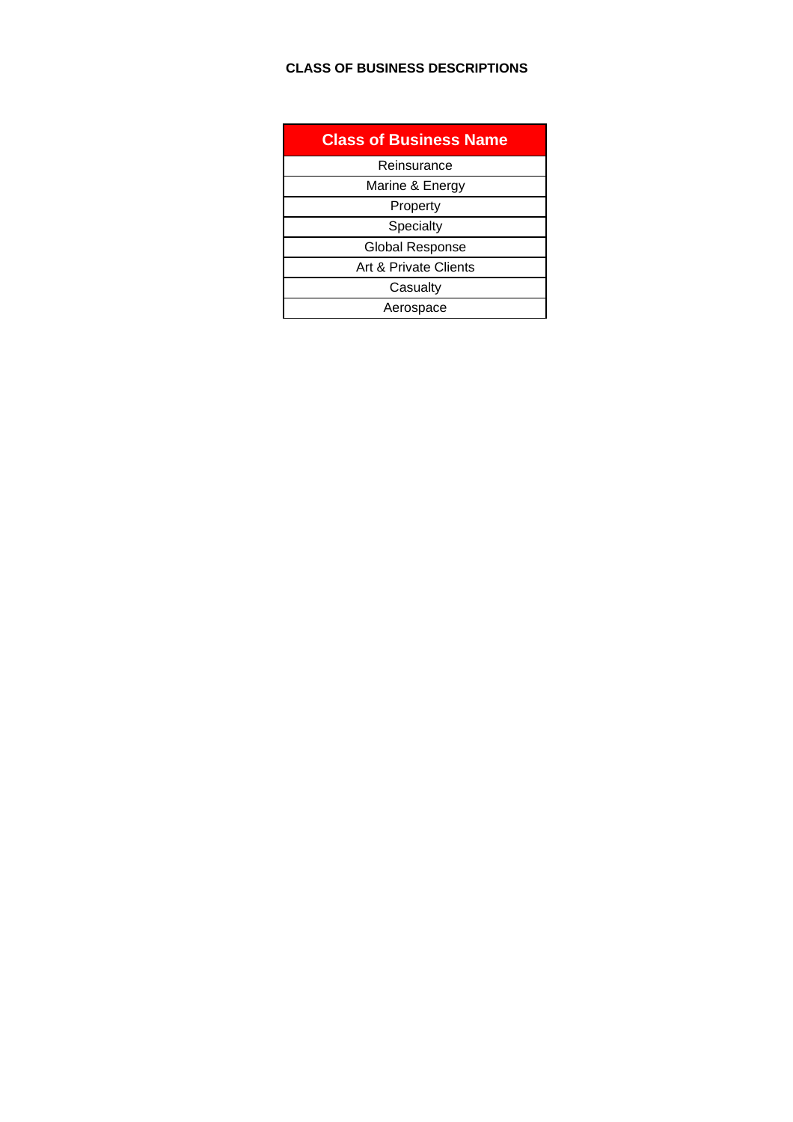#### **CLASS OF BUSINESS DESCRIPTIONS**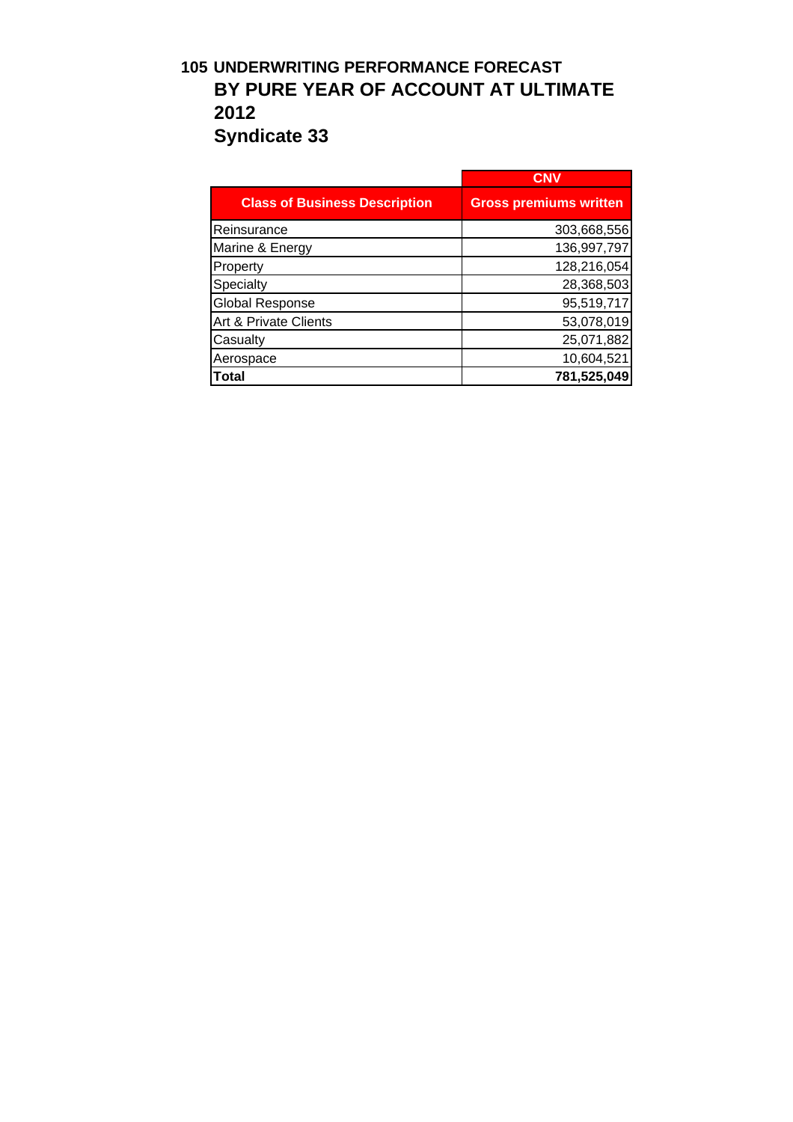## **105 UNDERWRITING PERFORMANCE FORECAST BY PURE YEAR OF ACCOUNT AT ULTIMATE 2012 Syndicate 33**

|                                      | CNV                           |
|--------------------------------------|-------------------------------|
| <b>Class of Business Description</b> | <b>Gross premiums written</b> |
| Reinsurance                          | 303,668,556                   |
| Marine & Energy                      | 136,997,797                   |
| Property                             | 128,216,054                   |
| Specialty                            | 28,368,503                    |
| <b>Global Response</b>               | 95,519,717                    |
| Art & Private Clients                | 53,078,019                    |
| Casualty                             | 25,071,882                    |
| Aerospace                            | 10,604,521                    |
| <b>Total</b>                         | 781,525,049                   |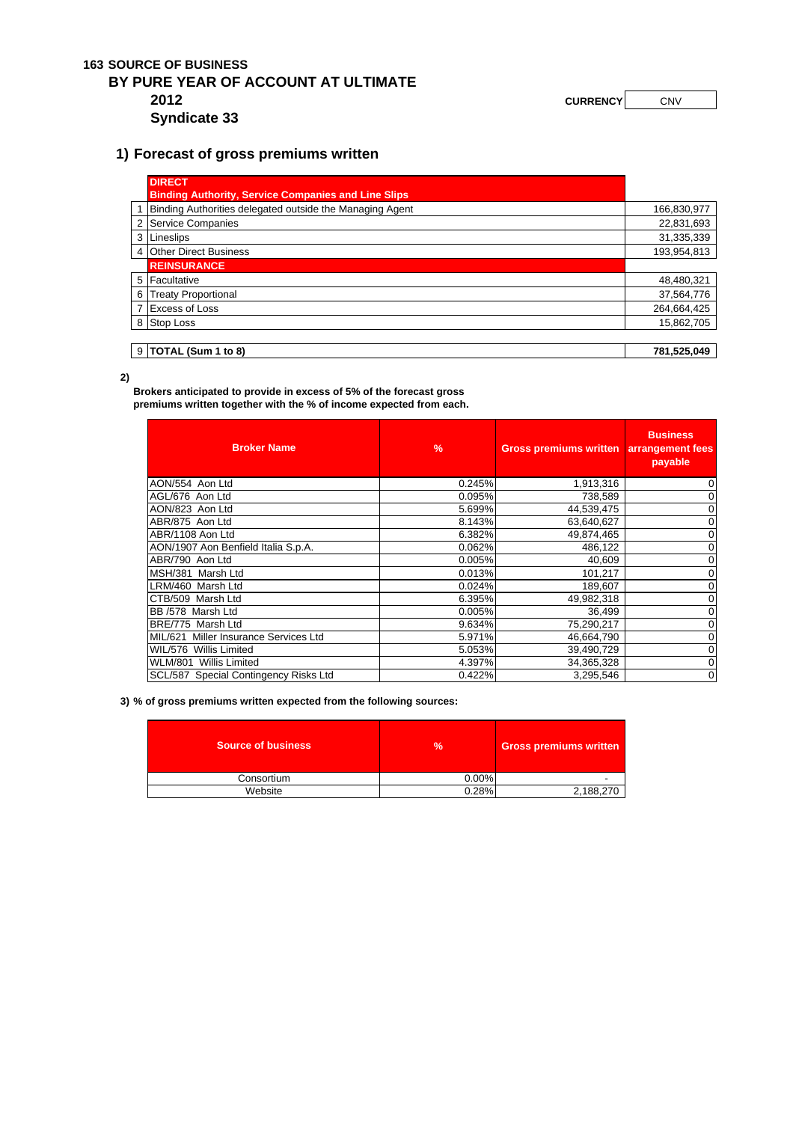#### **163 SOURCE OF BUSINESS BY PURE YEAR OF ACCOUNT AT ULTIMATE 2012 CURRENCY** CNV **Syndicate 33**

#### **1) Forecast of gross premiums written**

| <b>DIRECT</b>                                              |             |
|------------------------------------------------------------|-------------|
| <b>Binding Authority, Service Companies and Line Slips</b> |             |
| Binding Authorities delegated outside the Managing Agent   | 166,830,977 |
| 2 Service Companies                                        | 22,831,693  |
| 3 Lineslips                                                | 31,335,339  |
| 4 Other Direct Business                                    | 193,954,813 |
| <b>REINSURANCE</b>                                         |             |
| 5 Facultative                                              | 48,480,321  |
| 6 Treaty Proportional                                      | 37,564,776  |
| <b>Excess of Loss</b>                                      | 264,664,425 |
| 8 Stop Loss                                                | 15,862,705  |
|                                                            |             |
| $9$ TOTAL (Sum 1 to 8)                                     | 781,525,049 |

**2)**

**Brokers anticipated to provide in excess of 5% of the forecast gross** 

**premiums written together with the % of income expected from each.** 

| <b>Broker Name</b>                    | $\frac{9}{6}$ | <b>Gross premiums written</b> | <b>Business</b><br>arrangement fees<br>payable |
|---------------------------------------|---------------|-------------------------------|------------------------------------------------|
| AON/554 Aon Ltd                       | 0.245%        | 1,913,316                     |                                                |
| AGL/676 Aon Ltd                       | 0.095%        | 738,589                       |                                                |
| AON/823 Aon Ltd                       | 5.699%        | 44,539,475                    |                                                |
| ABR/875 Aon Ltd                       | 8.143%        | 63,640,627                    |                                                |
| ABR/1108 Aon Ltd                      | 6.382%        | 49,874,465                    |                                                |
| AON/1907 Aon Benfield Italia S.p.A.   | 0.062%        | 486,122                       |                                                |
| ABR/790 Aon Ltd                       | 0.005%        | 40,609                        |                                                |
| MSH/381 Marsh Ltd                     | 0.013%        | 101,217                       |                                                |
| LRM/460 Marsh Ltd                     | 0.024%        | 189,607                       |                                                |
| CTB/509 Marsh Ltd                     | 6.395%        | 49,982,318                    |                                                |
| BB /578 Marsh Ltd                     | 0.005%        | 36,499                        |                                                |
| BRE/775 Marsh Ltd                     | 9.634%        | 75,290,217                    |                                                |
| MIL/621 Miller Insurance Services Ltd | 5.971%        | 46,664,790                    |                                                |
| WIL/576 Willis Limited                | 5.053%        | 39,490,729                    |                                                |
| WLM/801 Willis Limited                | 4.397%        | 34,365,328                    |                                                |
| SCL/587 Special Contingency Risks Ltd | 0.422%        | 3,295,546                     | $\mathbf 0$                                    |

**3) % of gross premiums written expected from the following sources:**

| <b>Source of business</b> | $\frac{9}{20}$ | <b>Gross premiums written</b> |  |
|---------------------------|----------------|-------------------------------|--|
| Consortium                | 0.00%          |                               |  |
| Website                   | 0.28%          | 2,188,270                     |  |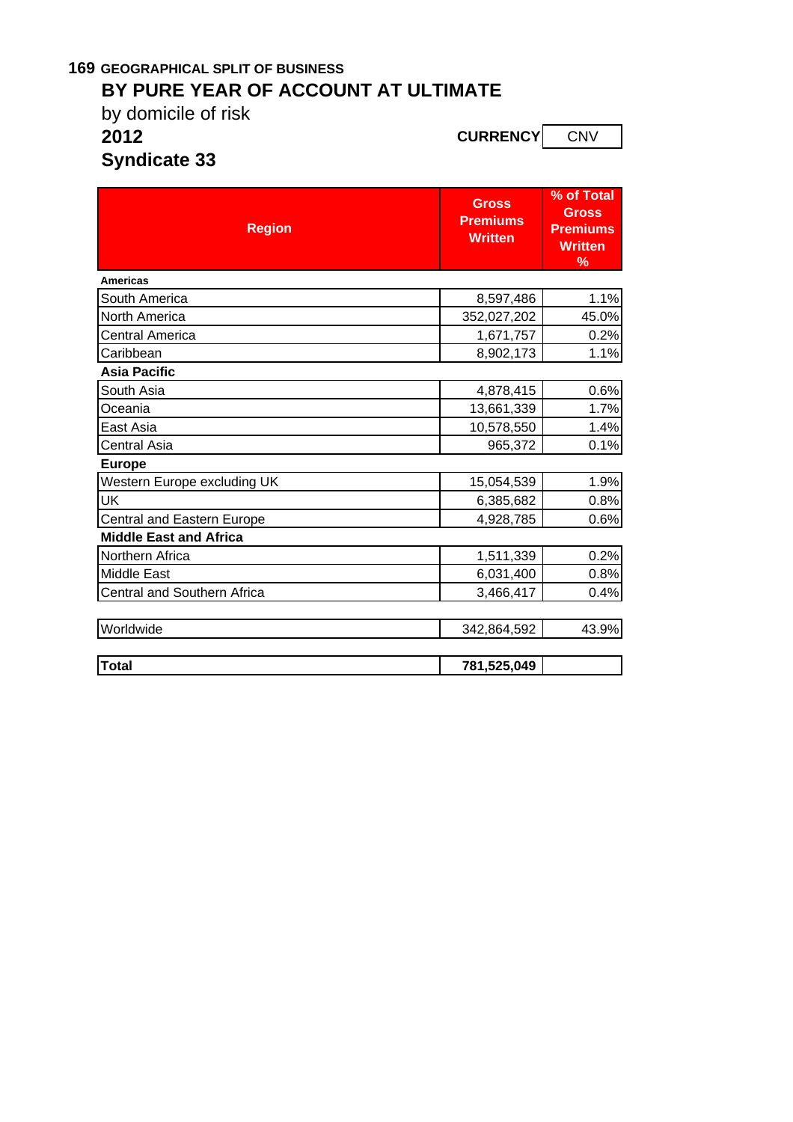### **169 GEOGRAPHICAL SPLIT OF BUSINESS BY PURE YEAR OF ACCOUNT AT ULTIMATE**

by domicile of risk **2012 CURRENCY** CNV

**Syndicate 33**

| <b>Region</b>                      | <b>Gross</b><br><b>Premiums</b><br><b>Written</b> | % of Total<br><b>Gross</b><br><b>Premiums</b><br><b>Written</b><br>% |
|------------------------------------|---------------------------------------------------|----------------------------------------------------------------------|
| <b>Americas</b>                    |                                                   |                                                                      |
| South America                      | 8,597,486                                         | 1.1%                                                                 |
| <b>North America</b>               | 352,027,202                                       | 45.0%                                                                |
| Central America                    | 1,671,757                                         | 0.2%                                                                 |
| Caribbean                          | 8,902,173                                         | 1.1%                                                                 |
| <b>Asia Pacific</b>                |                                                   |                                                                      |
| South Asia                         | 4,878,415                                         | 0.6%                                                                 |
| Oceania                            | 13,661,339                                        | 1.7%                                                                 |
| East Asia                          | 10,578,550                                        | 1.4%                                                                 |
| Central Asia                       | 965,372                                           | 0.1%                                                                 |
| <b>Europe</b>                      |                                                   |                                                                      |
| Western Europe excluding UK        | 15,054,539                                        | 1.9%                                                                 |
| UK                                 | 6,385,682                                         | 0.8%                                                                 |
| Central and Eastern Europe         | 4,928,785                                         | 0.6%                                                                 |
| <b>Middle East and Africa</b>      |                                                   |                                                                      |
| Northern Africa                    | 1,511,339                                         | 0.2%                                                                 |
| <b>Middle East</b>                 | 6,031,400                                         | 0.8%                                                                 |
| <b>Central and Southern Africa</b> | 3,466,417                                         | 0.4%                                                                 |
|                                    |                                                   |                                                                      |
| Worldwide                          | 342,864,592                                       | 43.9%                                                                |
|                                    |                                                   |                                                                      |
| <b>Total</b>                       | 781,525,049                                       |                                                                      |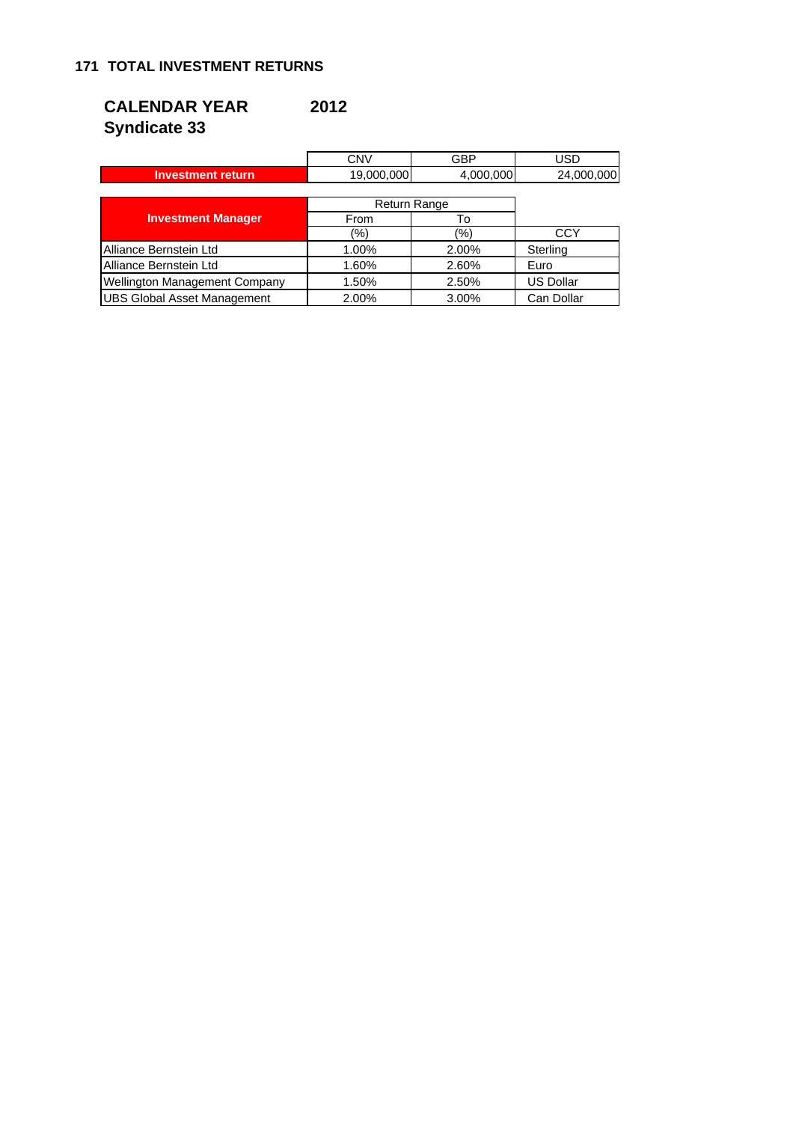## **CALENDAR YEAR 2012 Syndicate 33**

|                                      | <b>CNV</b> | GBP          | <b>USD</b>       |  |
|--------------------------------------|------------|--------------|------------------|--|
| <b>Investment return</b>             | 19,000,000 | 4,000,000    | 24,000,000       |  |
|                                      |            |              |                  |  |
|                                      |            | Return Range |                  |  |
| <b>Investment Manager</b>            | From       | To           |                  |  |
|                                      | (9/6)      | (%)          | <b>CCY</b>       |  |
| Alliance Bernstein Ltd               | 1.00%      | 2.00%        | Sterling         |  |
| Alliance Bernstein Ltd               | 1.60%      | 2.60%        | Euro             |  |
| <b>Wellington Management Company</b> | 1.50%      | 2.50%        | <b>US Dollar</b> |  |
| <b>UBS Global Asset Management</b>   | 2.00%      | 3.00%        | Can Dollar       |  |

 $\overline{a}$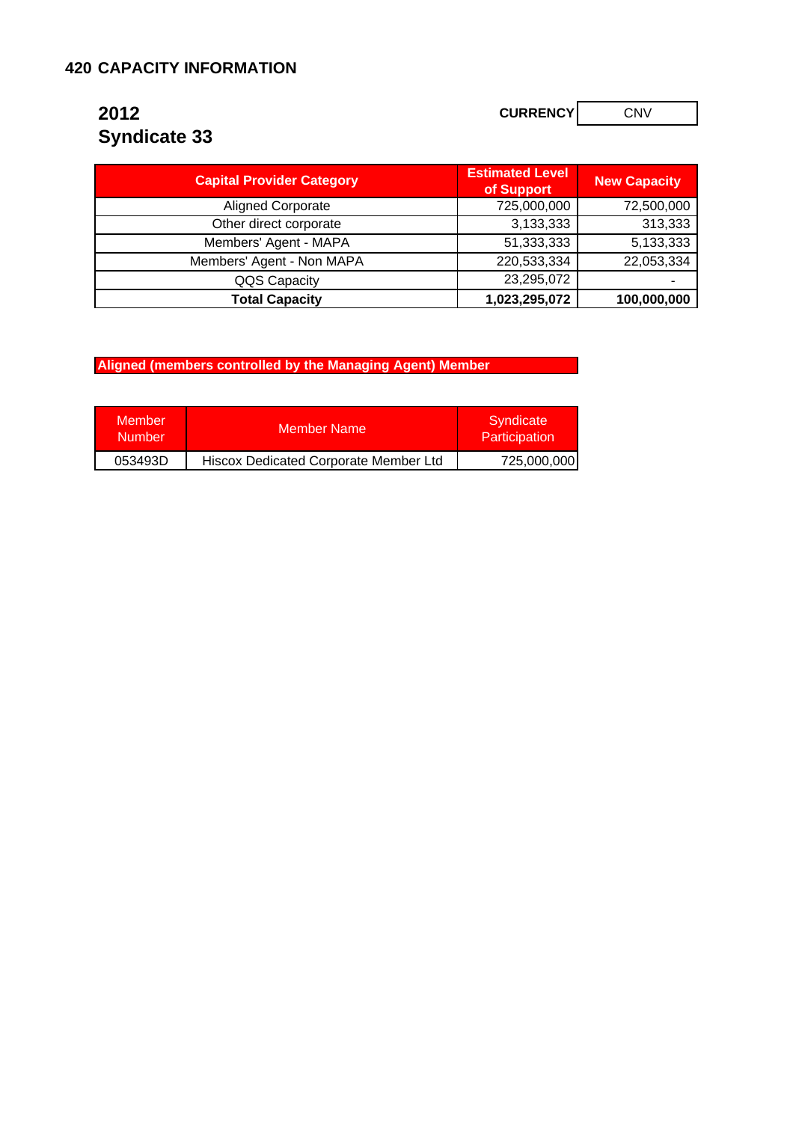#### **420 CAPACITY INFORMATION**

# **Syndicate 33**

**2012 CURRENCY CURRENCY CNV** 

| <b>Capital Provider Category</b> | <b>Estimated Level</b><br>of Support | <b>New Capacity</b> |
|----------------------------------|--------------------------------------|---------------------|
| <b>Aligned Corporate</b>         | 725,000,000                          | 72,500,000          |
| Other direct corporate           | 3,133,333                            | 313,333             |
| Members' Agent - MAPA            | 51,333,333                           | 5,133,333           |
| Members' Agent - Non MAPA        | 220,533,334                          | 22,053,334          |
| QQS Capacity                     | 23,295,072                           |                     |
| <b>Total Capacity</b>            | 1,023,295,072                        | 100,000,000         |

**Aligned (members controlled by the Managing Agent) Member** 

| <b>Member</b><br><b>Number</b> | Member Name                           | Syndicate<br>Participation |  |
|--------------------------------|---------------------------------------|----------------------------|--|
| 053493D                        | Hiscox Dedicated Corporate Member Ltd | 725,000,000                |  |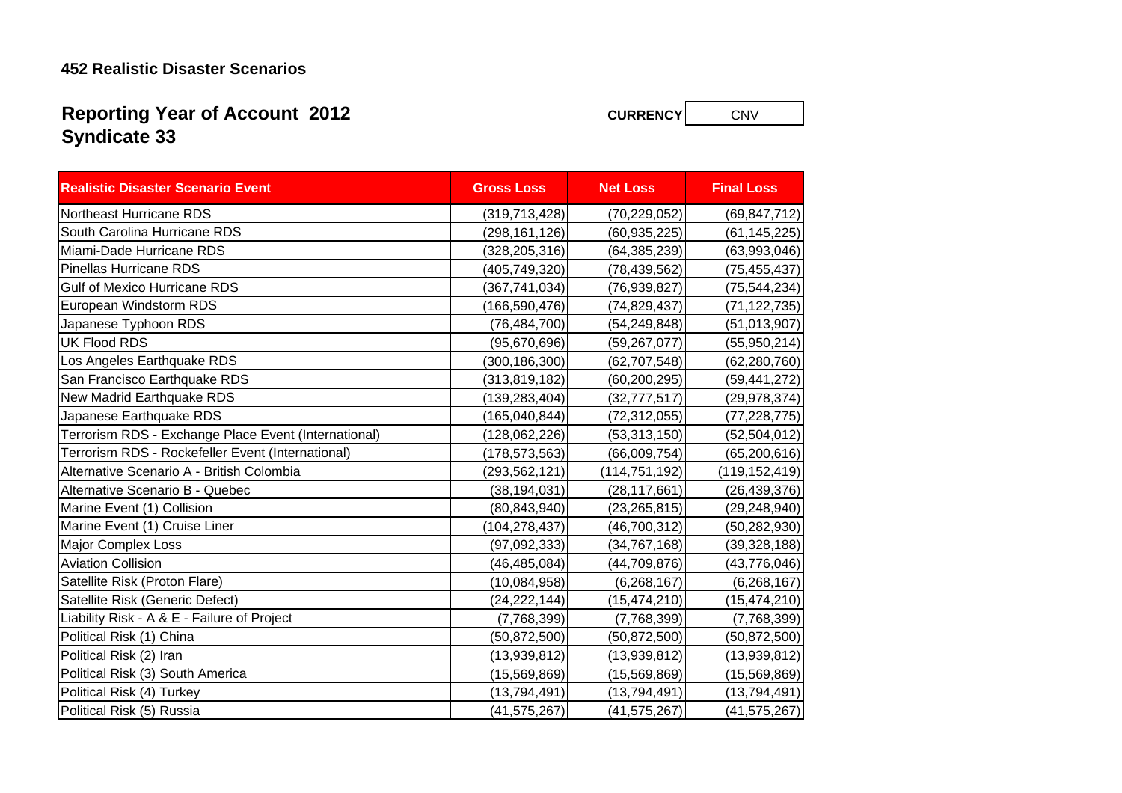#### **452 Realistic Disaster Scenarios**

## **Syndicate 33 Reporting Year of Account 2012**

**Realistic Disaster Scenario Event Gross Loss Net Loss Final Loss**Northeast Hurricane RDS (319,713,428) (70,229,052) (69,847,712) South Carolina Hurricane RDS (298,161,126) (60,935,225) (61,145,225) Miami-Dade Hurricane RDS (328,205,316) (64,385,239) (63,993,046) Pinellas Hurricane RDS (405,749,320) (78,439,562) (75,455,437) Gulf of Mexico Hurricane RDS (367,741,034) (76,939,827) (75,544,234) European Windstorm RDS (166,590,476) (74,829,437) (71,122,735) Japanese Typhoon RDS (76,484,700) (54,249,848) (51,013,907) UK Flood RDSS (95,670,696)| (59,267,077)| (55,950,214) Los Angeles Earthquake RDS (300,186,300) (62,707,548) (62,280,760) San Francisco Earthquake RDS (313,819,182) (60,200,295) (59,441,272) New Madrid Earthquake RDS (139,283,404) (32,777,517) (29,978,374) Japanese Earthquake RDS (165,040,844) (72,312,055) (77,228,775) Terrorism RDS - Exchange Place Event (International) (128,062,226) (53,313,150) (52,504,012) Terrorism RDS - Rockefeller Event (International) (178,573,563) (66,009,754) (65,200,616) Alternative Scenario A - British Colombia (293,562,121) (114,751,192) (119,152,419) Alternative Scenario B - Quebec (38,194,031) (28,117,661) (26,439,376) Marine Event (1) Collision (80,843,940) (23,265,815) (29,248,940) Marine Event (1) Cruise Liner (104,278,437) (46,700,312) (50,282,930) Major Complex Loss (97,092,333) (34,767,168) (39,328,188) Aviation Collision (46,485,084) (44,709,876) (43,776,046) Satellite Risk (Proton Flare) (10,084,958) (6,268,167) (6,268,167) Satellite Risk (Generic Defect) (24,222,144) (15,474,210) (15,474,210) Liability Risk - A & E - Failure of Project (7,768,399) (7,768,399) (7,768,399) Political Risk (1) China (50,872,500) (50,872,500) (50,872,500) Political Risk (2) Iran (13,939,812) (13,939,812) (13,939,812) Political Risk (3) South America (15,569,869) (15,569,869) (15,569,869) Political Risk (4) Turkey (13,794,491) (13,794,491) (13,794,491) Political Risk (5) Russia (41,575,267) (41,575,267) (41,575,267)

**CURRENCY**

**CNV**